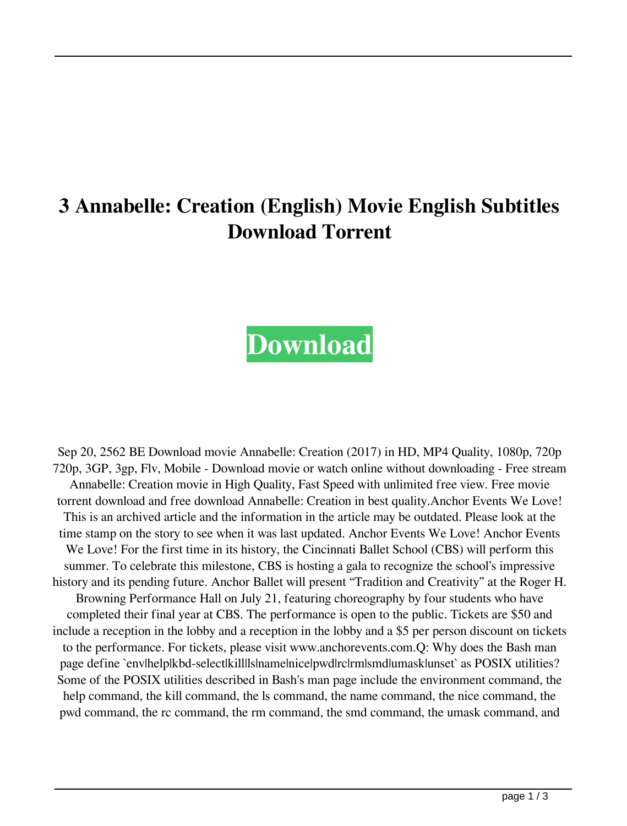## **3 Annabelle: Creation (English) Movie English Subtitles Download Torrent**

## **[Download](http://evacdir.com/bonus/ZG93bmxvYWR8NkNrYkc5MWZId3hOalV5TnpRd09EWTJmSHd5TlRjMGZId29UU2tnY21WaFpDMWliRzluSUZ0R1lYTjBJRWRGVGww/portugeezer.fumbles/interweaving/entrecote?MyBBbm5hYmVsbGU6IENyZWF0aW9uIChFbmdsaXNoKSBtb3ZpZSBlbmdsaXNoIHN1YnRpdGxlcyBkb3dubG9hZCB0b3JyZW50MyB)**

Sep 20, 2562 BE Download movie Annabelle: Creation (2017) in HD, MP4 Quality, 1080p, 720p 720p, 3GP, 3gp, Flv, Mobile - Download movie or watch online without downloading - Free stream Annabelle: Creation movie in High Quality, Fast Speed with unlimited free view. Free movie torrent download and free download Annabelle: Creation in best quality.Anchor Events We Love! This is an archived article and the information in the article may be outdated. Please look at the time stamp on the story to see when it was last updated. Anchor Events We Love! Anchor Events We Love! For the first time in its history, the Cincinnati Ballet School (CBS) will perform this summer. To celebrate this milestone, CBS is hosting a gala to recognize the school's impressive history and its pending future. Anchor Ballet will present "Tradition and Creativity" at the Roger H. Browning Performance Hall on July 21, featuring choreography by four students who have completed their final year at CBS. The performance is open to the public. Tickets are \$50 and include a reception in the lobby and a reception in the lobby and a \$5 per person discount on tickets to the performance. For tickets, please visit www.anchorevents.com.Q: Why does the Bash man page define `env|help|kbd-select|kill|ls|name|nice|pwd|rc|rm|smd|umask|unset` as POSIX utilities? Some of the POSIX utilities described in Bash's man page include the environment command, the help command, the kill command, the ls command, the name command, the nice command, the pwd command, the rc command, the rm command, the smd command, the umask command, and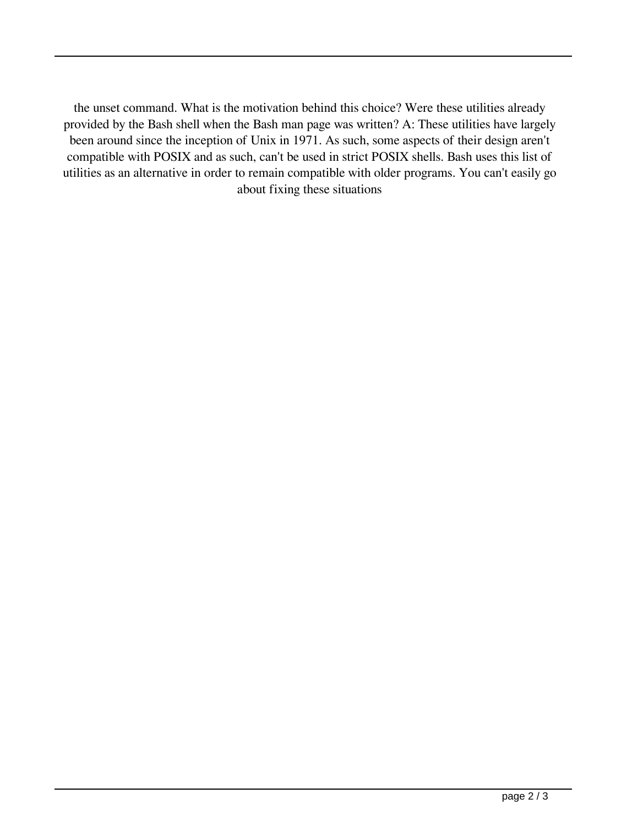the unset command. What is the motivation behind this choice? Were these utilities already provided by the Bash shell when the Bash man page was written? A: These utilities have largely been around since the inception of Unix in 1971. As such, some aspects of their design aren't compatible with POSIX and as such, can't be used in strict POSIX shells. Bash uses this list of utilities as an alternative in order to remain compatible with older programs. You can't easily go about fixing these situations